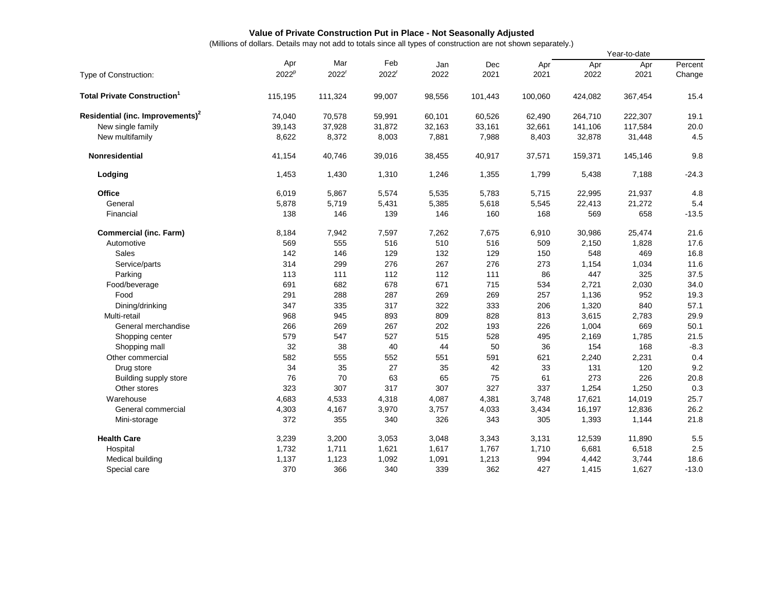## **Value of Private Construction Put in Place - Not Seasonally Adjusted**

(Millions of dollars. Details may not add to totals since all types of construction are not shown separately.)

|                                              |                   |                   |                   |        |         |         | Year-to-date |         |         |
|----------------------------------------------|-------------------|-------------------|-------------------|--------|---------|---------|--------------|---------|---------|
|                                              | Apr               | Mar               | Feb               | Jan    | Dec     | Apr     | Apr          | Apr     | Percent |
| Type of Construction:                        | 2022 <sup>p</sup> | 2022 <sup>r</sup> | 2022 <sup>r</sup> | 2022   | 2021    | 2021    | 2022         | 2021    | Change  |
| <b>Total Private Construction</b>            | 115,195           | 111,324           | 99,007            | 98,556 | 101,443 | 100,060 | 424,082      | 367,454 | 15.4    |
| Residential (inc. Improvements) <sup>2</sup> | 74,040            | 70,578            | 59,991            | 60,101 | 60,526  | 62,490  | 264,710      | 222,307 | 19.1    |
| New single family                            | 39,143            | 37,928            | 31,872            | 32,163 | 33,161  | 32,661  | 141,106      | 117,584 | 20.0    |
| New multifamily                              | 8,622             | 8,372             | 8,003             | 7,881  | 7,988   | 8,403   | 32,878       | 31,448  | 4.5     |
| <b>Nonresidential</b>                        | 41,154            | 40,746            | 39,016            | 38,455 | 40,917  | 37,571  | 159,371      | 145,146 | 9.8     |
| Lodging                                      | 1,453             | 1,430             | 1,310             | 1,246  | 1,355   | 1,799   | 5,438        | 7,188   | $-24.3$ |
| Office                                       | 6,019             | 5,867             | 5,574             | 5,535  | 5,783   | 5,715   | 22,995       | 21,937  | 4.8     |
| General                                      | 5,878             | 5,719             | 5,431             | 5,385  | 5,618   | 5,545   | 22,413       | 21,272  | 5.4     |
| Financial                                    | 138               | 146               | 139               | 146    | 160     | 168     | 569          | 658     | $-13.5$ |
| <b>Commercial (inc. Farm)</b>                | 8,184             | 7,942             | 7,597             | 7,262  | 7,675   | 6,910   | 30,986       | 25,474  | 21.6    |
| Automotive                                   | 569               | 555               | 516               | 510    | 516     | 509     | 2,150        | 1,828   | 17.6    |
| Sales                                        | 142               | 146               | 129               | 132    | 129     | 150     | 548          | 469     | 16.8    |
| Service/parts                                | 314               | 299               | 276               | 267    | 276     | 273     | 1,154        | 1,034   | 11.6    |
| Parking                                      | 113               | 111               | 112               | 112    | 111     | 86      | 447          | 325     | 37.5    |
| Food/beverage                                | 691               | 682               | 678               | 671    | 715     | 534     | 2,721        | 2,030   | 34.0    |
| Food                                         | 291               | 288               | 287               | 269    | 269     | 257     | 1,136        | 952     | 19.3    |
| Dining/drinking                              | 347               | 335               | 317               | 322    | 333     | 206     | 1,320        | 840     | 57.1    |
| Multi-retail                                 | 968               | 945               | 893               | 809    | 828     | 813     | 3,615        | 2,783   | 29.9    |
| General merchandise                          | 266               | 269               | 267               | 202    | 193     | 226     | 1,004        | 669     | 50.1    |
| Shopping center                              | 579               | 547               | 527               | 515    | 528     | 495     | 2,169        | 1,785   | 21.5    |
| Shopping mall                                | 32                | 38                | 40                | 44     | 50      | 36      | 154          | 168     | $-8.3$  |
| Other commercial                             | 582               | 555               | 552               | 551    | 591     | 621     | 2,240        | 2,231   | 0.4     |
| Drug store                                   | 34                | 35                | 27                | 35     | 42      | 33      | 131          | 120     | 9.2     |
| Building supply store                        | 76                | 70                | 63                | 65     | 75      | 61      | 273          | 226     | 20.8    |
| Other stores                                 | 323               | 307               | 317               | 307    | 327     | 337     | 1,254        | 1,250   | 0.3     |
| Warehouse                                    | 4,683             | 4,533             | 4,318             | 4,087  | 4,381   | 3,748   | 17,621       | 14,019  | 25.7    |
| General commercial                           | 4,303             | 4,167             | 3,970             | 3,757  | 4,033   | 3,434   | 16,197       | 12,836  | 26.2    |
| Mini-storage                                 | 372               | 355               | 340               | 326    | 343     | 305     | 1,393        | 1,144   | 21.8    |
| <b>Health Care</b>                           | 3,239             | 3,200             | 3,053             | 3,048  | 3,343   | 3,131   | 12,539       | 11,890  | 5.5     |
| Hospital                                     | 1,732             | 1,711             | 1,621             | 1,617  | 1,767   | 1,710   | 6,681        | 6,518   | 2.5     |
| Medical building                             | 1,137             | 1,123             | 1,092             | 1,091  | 1,213   | 994     | 4,442        | 3,744   | 18.6    |
| Special care                                 | 370               | 366               | 340               | 339    | 362     | 427     | 1,415        | 1,627   | $-13.0$ |